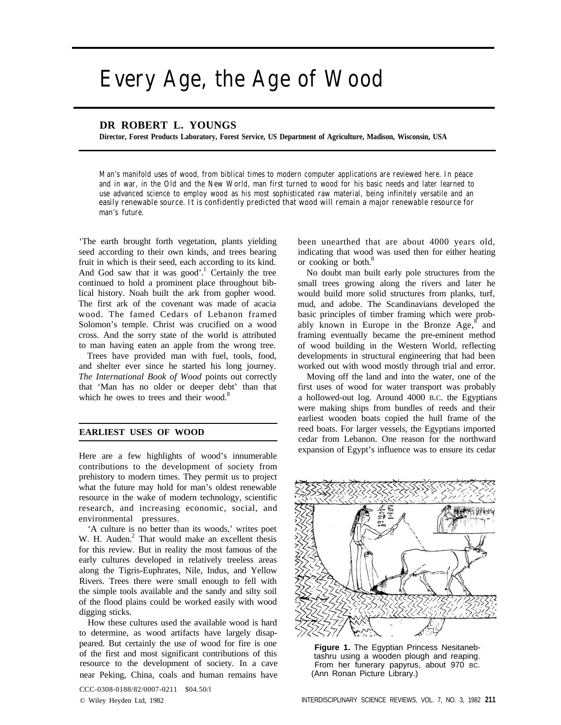# **Every Age, the Age of Wood**

## **DR ROBERT L. YOUNGS**

**Director, Forest Products Laboratory, Forest Service, US Department of Agriculture, Madison, Wisconsin, USA** 

**Man's manifold uses of wood, from biblical times to modern computer applications are reviewed here. In peace and in war, in the Old and the New World, man first turned to wood for his basic needs and later learned to use advanced science to employ wood as his most sophisticated raw material, being infinitely versatile and an easily renewable source. It is confidently predicted that wood will remain a major renewable resource for man's future.** 

'The earth brought forth vegetation, plants yielding seed according to their own kinds, and trees bearing fruit in which is their seed, each according to its kind. And God saw that it was good'.<sup>1</sup> Certainly the tree continued to hold a prominent place throughout biblical history. Noah built the ark from gopher wood. The first ark of the covenant was made of acacia wood. The famed Cedars of Lebanon framed Solomon's temple. Christ was crucified on a wood cross. And the sorry state of the world is attributed to man having eaten an apple from the wrong tree.

Trees have provided man with fuel, tools, food, and shelter ever since he started his long journey. *The International Book of Wood* points out correctly that 'Man has no older or deeper debt' than that which he owes to trees and their wood.<sup>8</sup>

#### **EARLIEST USES OF WOOD**

Here are a few highlights of wood's innumerable contributions to the development of society from prehistory to modern times. They permit us to project what the future may hold for man's oldest renewable resource in the wake of modern technology, scientific research, and increasing economic, social, and environmental pressures.

'A culture is no better than its woods,' writes poet W. H. Auden.<sup>2</sup> That would make an excellent thesis for this review. But in reality the most famous of the early cultures developed in relatively treeless areas along the Tigris-Euphrates, Nile, Indus, and Yellow Rivers. Trees there were small enough to fell with the simple tools available and the sandy and silty soil of the flood plains could be worked easily with wood digging sticks.

How these cultures used the available wood is hard to determine, as wood artifacts have largely disappeared. But certainly the use of wood for fire is one of the first and most significant contributions of this resource to the development of society. In a cave near Peking, China, coals and human remains have

CCC-0308-0188/82/0007-0211 \$04.50/l © Wiley Heyden Ltd, 1982

been unearthed that are about 4000 years old, indicating that wood was used then for either heating or cooking or both.<sup>8</sup>

No doubt man built early pole structures from the small trees growing along the rivers and later he would build more solid structures from planks, turf, mud, and adobe. The Scandinavians developed the basic principles of timber framing which were probably known in Europe in the Bronze  $Age<sub>i</sub><sup>8</sup>$  and framing eventually became the pre-eminent method of wood building in the Western World, reflecting developments in structural engineering that had been worked out with wood mostly through trial and error.

Moving off the land and into the water, one of the first uses of wood for water transport was probably a hollowed-out log. Around 4000 B.C. the Egyptians were making ships from bundles of reeds and their earliest wooden boats copied the hull frame of the reed boats. For larger vessels, the Egyptians imported cedar from Lebanon. One reason for the northward expansion of Egypt's influence was to ensure its cedar



**Figure 1.** The Egyptian Princess Nesitanebtashru using a wooden plough and reaping. From her funerary papyrus, about 970 BC. (Ann Ronan Picture Library.)

INTERDISCIPLINARY SCIENCE REVIEWS, VOL. 7, NO. 3, 1982 **211**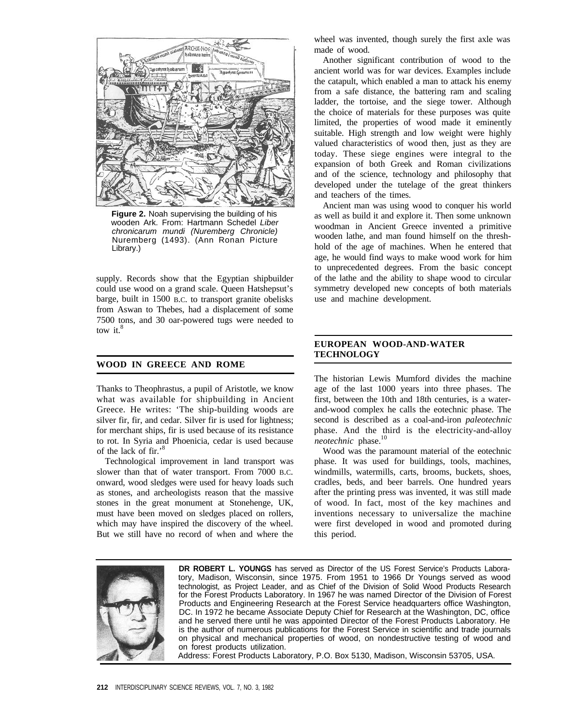

**Figure 2.** Noah supervising the building of his wooden Ark. From: Hartmann Schedel *Liber chronicarum mundi (Nuremberg Chronicle)*  Nuremberg (1493). (Ann Ronan Picture Library.)

supply. Records show that the Egyptian shipbuilder could use wood on a grand scale. Queen Hatshepsut's barge, built in 1500 B.C. to transport granite obelisks from Aswan to Thebes, had a displacement of some 7500 tons, and 30 oar-powered tugs were needed to tow it. $8$ 

#### **WOOD IN GREECE AND ROME**

Thanks to Theophrastus, a pupil of Aristotle, we know what was available for shipbuilding in Ancient Greece. He writes: 'The ship-building woods are silver fir, fir, and cedar. Silver fir is used for lightness; for merchant ships, fir is used because of its resistance to rot. In Syria and Phoenicia, cedar is used because of the lack of fir.'<sup>8</sup>

Technological improvement in land transport was slower than that of water transport. From 7000 B.C. onward, wood sledges were used for heavy loads such as stones, and archeologists reason that the massive stones in the great monument at Stonehenge, UK, must have been moved on sledges placed on rollers, which may have inspired the discovery of the wheel. But we still have no record of when and where the wheel was invented, though surely the first axle was made of wood.

Another significant contribution of wood to the ancient world was for war devices. Examples include the catapult, which enabled a man to attack his enemy from a safe distance, the battering ram and scaling ladder, the tortoise, and the siege tower. Although the choice of materials for these purposes was quite limited, the properties of wood made it eminently suitable. High strength and low weight were highly valued characteristics of wood then, just as they are today. These siege engines were integral to the expansion of both Greek and Roman civilizations and of the science, technology and philosophy that developed under the tutelage of the great thinkers and teachers of the times.

Ancient man was using wood to conquer his world as well as build it and explore it. Then some unknown woodman in Ancient Greece invented a primitive wooden lathe, and man found himself on the threshhold of the age of machines. When he entered that age, he would find ways to make wood work for him to unprecedented degrees. From the basic concept of the lathe and the ability to shape wood to circular symmetry developed new concepts of both materials use and machine development.

## **EUROPEAN WOOD-AND-WATER TECHNOLOGY**

The historian Lewis Mumford divides the machine age of the last 1000 years into three phases. The first, between the 10th and 18th centuries, is a waterand-wood complex he calls the eotechnic phase. The second is described as a coal-and-iron *paleotechnic*  phase. And the third is the electricity-and-alloy *neotechnic* phase.<sup>10</sup>

Wood was the paramount material of the eotechnic phase. It was used for buildings, tools, machines, windmills, watermills, carts, brooms, buckets, shoes, cradles, beds, and beer barrels. One hundred years after the printing press was invented, it was still made of wood. In fact, most of the key machines and inventions necessary to universalize the machine were first developed in wood and promoted during this period.



**DR ROBERT L. YOUNGS** has served as Director of the US Forest Service's Products Laboratory, Madison, Wisconsin, since 1975. From 1951 to 1966 Dr Youngs served as wood technologist, as Project Leader, and as Chief of the Division of Solid Wood Products Research for the Forest Products Laboratory. In 1967 he was named Director of the Division of Forest Products and Engineering Research at the Forest Service headquarters office Washington, DC. In 1972 he became Associate Deputy Chief for Research at the Washington, DC, office and he served there until he was appointed Director of the Forest Products Laboratory. He is the author of numerous publications for the Forest Service in scientific and trade journals on physical and mechanical properties of wood, on nondestructive testing of wood and on forest products utilization.

Address: Forest Products Laboratory, P.O. Box 5130, Madison, Wisconsin 53705, USA.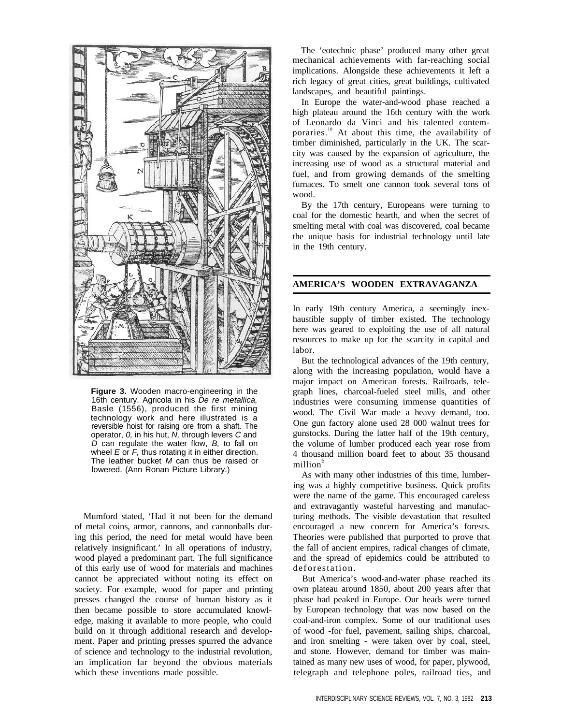

**Figure 3.** Wooden macro-engineering in the 16th century. Agricola in his *De re metallica,*  Basle (1556), produced the first mining technology work and here illustrated is a reversible hoist for raising ore from a shaft. The operator, *0,* in his hut, *N,* through levers *C* and *D* can regulate the water flow, *B,* to fall on wheel *E* or *F,* thus rotating it in either direction. The leather bucket *M* can thus be raised or lowered. (Ann Ronan Picture Library.)

Mumford stated, 'Had it not been for the demand of metal coins, armor, cannons, and cannonballs during this period, the need for metal would have been relatively insignificant.' In all operations of industry, wood played a predominant part. The full significance of this early use of wood for materials and machines cannot be appreciated without noting its effect on society. For example, wood for paper and printing presses changed the course of human history as it then became possible to store accumulated knowledge, making it available to more people, who could build on it through additional research and development. Paper and printing presses spurred the advance of science and technology to the industrial revolution, an implication far beyond the obvious materials which these inventions made possible.

The 'eotechnic phase' produced many other great mechanical achievements with far-reaching social implications. Alongside these achievements it left a rich legacy of great cities, great buildings, cultivated landscapes, and beautiful paintings.

In Europe the water-and-wood phase reached a high plateau around the 16th century with the work of Leonardo da Vinci and his talented contemporaries.10 At about this time, the availability of timber diminished, particularly in the UK. The scarcity was caused by the expansion of agriculture, the increasing use of wood as a structural material and fuel, and from growing demands of the smelting furnaces. To smelt one cannon took several tons of wood.

By the 17th century, Europeans were turning to coal for the domestic hearth, and when the secret of smelting metal with coal was discovered, coal became the unique basis for industrial technology until late in the 19th century.

# **AMERICA'S WOODEN EXTRAVAGANZA**

In early 19th century America, a seemingly inexhaustible supply of timber existed. The technology here was geared to exploiting the use of all natural resources to make up for the scarcity in capital and labor.

But the technological advances of the 19th century, along with the increasing population, would have a major impact on American forests. Railroads, telegraph lines, charcoal-fueled steel mills, and other industries were consuming immense quantities of wood. The Civil War made a heavy demand, too. One gun factory alone used 28 000 walnut trees for gunstocks. During the latter half of the 19th century, the volume of lumber produced each year rose from 4 thousand million board feet to about 35 thousand million<sup>6</sup>

As with many other industries of this time, lumbering was a highly competitive business. Quick profits were the name of the game. This encouraged careless and extravagantly wasteful harvesting and manufacturing methods. The visible devastation that resulted encouraged a new concern for America's forests. Theories were published that purported to prove that the fall of ancient empires, radical changes of climate, and the spread of epidemics could be attributed to deforestation.

But America's wood-and-water phase reached its own plateau around 1850, about 200 years after that phase had peaked in Europe. Our heads were turned by European technology that was now based on the coal-and-iron complex. Some of our traditional uses of wood -for fuel, pavement, sailing ships, charcoal, and iron smelting - were taken over by coal, steel, and stone. However, demand for timber was maintained as many new uses of wood, for paper, plywood, telegraph and telephone poles, railroad ties, and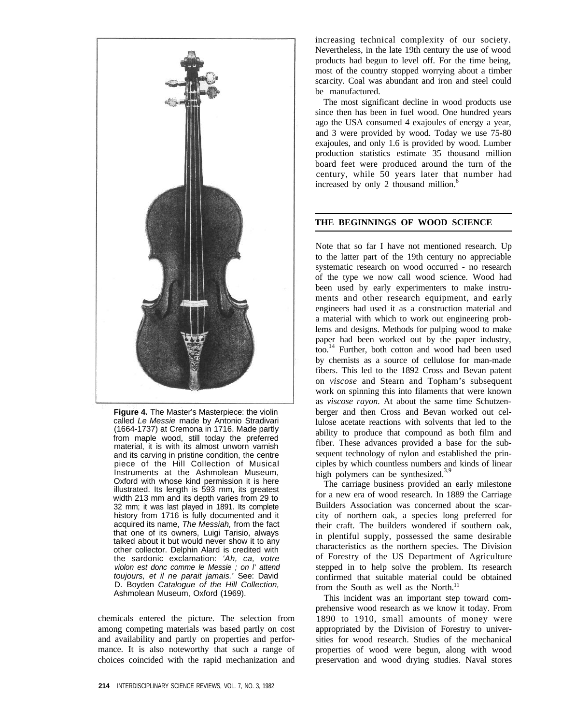

**Figure 4.** The Master's Masterpiece: the violin called *Le Messie* made by Antonio Stradivari (1664-1737) at Cremona in 1716. Made partly from maple wood, still today the preferred material, it is with its almost unworn varnish and its carving in pristine condition, the centre piece of the Hill Collection of Musical Instruments at the Ashmolean Museum, Oxford with whose kind permission it is here illustrated. Its length is 593 mm, its greatest width 213 mm and its depth varies from 29 to 32 mm; it was last played in 1891. Its complete history from 1716 is fully documented and it acquired its name, *The Messiah,* from the fact that one of its owners, Luigi Tarisio, always talked about it but would never show it to any other collector. Delphin Alard is credited with the sardonic exclamation: *'Ah, ca, votre violon est donc comme le Messie ; on l' attend toujours, et il ne parait jamais.'* See: David D. Boyden *Catalogue of the Hill Collection,*  Ashmolean Museum, Oxford (1969).

chemicals entered the picture. The selection from among competing materials was based partly on cost and availability and partly on properties and performance. It is also noteworthy that such a range of choices coincided with the rapid mechanization and increasing technical complexity of our society. Nevertheless, in the late 19th century the use of wood products had begun to level off. For the time being, most of the country stopped worrying about a timber scarcity. Coal was abundant and iron and steel could be manufactured.

The most significant decline in wood products use since then has been in fuel wood. One hundred years ago the USA consumed 4 exajoules of energy a year, and 3 were provided by wood. Today we use 75-80 exajoules, and only 1.6 is provided by wood. Lumber production statistics estimate 35 thousand million board feet were produced around the turn of the century, while 50 years later that number had increased by only 2 thousand million.<sup>6</sup>

#### **THE BEGINNINGS OF WOOD SCIENCE**

Note that so far I have not mentioned research. Up to the latter part of the 19th century no appreciable systematic research on wood occurred - no research of the type we now call wood science. Wood had been used by early experimenters to make instruments and other research equipment, and early engineers had used it as a construction material and a material with which to work out engineering problems and designs. Methods for pulping wood to make paper had been worked out by the paper industry, too.<sup>14</sup> Further, both cotton and wood had been used by chemists as a source of cellulose for man-made fibers. This led to the 1892 Cross and Bevan patent on *viscose* and Stearn and Topham's subsequent work on spinning this into filaments that were known as *viscose rayon.* At about the same time Schutzenberger and then Cross and Bevan worked out cellulose acetate reactions with solvents that led to the ability to produce that compound as both film and fiber. These advances provided a base for the subsequent technology of nylon and established the principles by which countless numbers and kinds of linear high polymers can be synthesized.<sup>3,9</sup>

The carriage business provided an early milestone for a new era of wood research. In 1889 the Carriage Builders Association was concerned about the scarcity of northern oak, a species long preferred for their craft. The builders wondered if southern oak, in plentiful supply, possessed the same desirable characteristics as the northern species. The Division of Forestry of the US Department of Agriculture stepped in to help solve the problem. Its research confirmed that suitable material could be obtained from the South as well as the North.<sup>11</sup>

This incident was an important step toward comprehensive wood research as we know it today. From 1890 to 1910, small amounts of money were appropriated by the Division of Forestry to universities for wood research. Studies of the mechanical properties of wood were begun, along with wood preservation and wood drying studies. Naval stores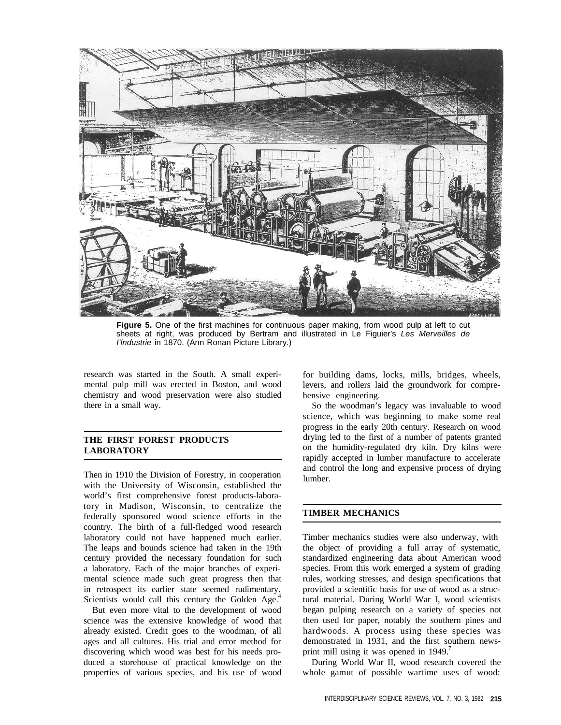

Figure 5. One of the first machines for continuous paper making, from wood pulp at left to cut sheets at right, was produced by Bertram and illustrated in Le Figuier's *Les Merveilles de I'lndustrie* in 1870. (Ann Ronan Picture Library.)

research was started in the South. A small experimental pulp mill was erected in Boston, and wood chemistry and wood preservation were also studied there in a small way.

#### **THE FIRST FOREST PRODUCTS LABORATORY**

Then in 1910 the Division of Forestry, in cooperation with the University of Wisconsin, established the world's first comprehensive forest products-laboratory in Madison, Wisconsin, to centralize the federally sponsored wood science efforts in the country. The birth of a full-fledged wood research laboratory could not have happened much earlier. The leaps and bounds science had taken in the 19th century provided the necessary foundation for such a laboratory. Each of the major branches of experimental science made such great progress then that in retrospect its earlier state seemed rudimentary. Scientists would call this century the Golden Age.<sup>4</sup>

But even more vital to the development of wood science was the extensive knowledge of wood that already existed. Credit goes to the woodman, of all ages and all cultures. His trial and error method for discovering which wood was best for his needs produced a storehouse of practical knowledge on the properties of various species, and his use of wood for building dams, locks, mills, bridges, wheels, levers, and rollers laid the groundwork for comprehensive engineering.

So the woodman's legacy was invaluable to wood science, which was beginning to make some real progress in the early 20th century. Research on wood drying led to the first of a number of patents granted on the humidity-regulated dry kiln. Dry kilns were rapidly accepted in lumber manufacture to accelerate and control the long and expensive process of drying lumber.

## **TIMBER MECHANICS**

Timber mechanics studies were also underway, with the object of providing a full array of systematic, standardized engineering data about American wood species. From this work emerged a system of grading rules, working stresses, and design specifications that provided a scientific basis for use of wood as a structural material. During World War I, wood scientists began pulping research on a variety of species not then used for paper, notably the southern pines and hardwoods. A process using these species was demonstrated in 1931, and the first southern newsprint mill using it was opened in 1949.<sup>7</sup>

During World War II, wood research covered the whole gamut of possible wartime uses of wood: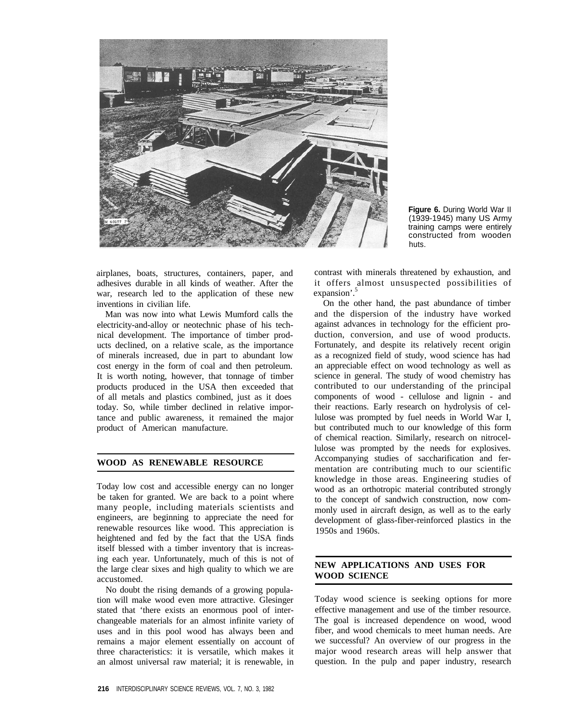

**Figure 6.** During World War II (1939-1945) many US Army training camps were entirely constructed from wooden huts.

airplanes, boats, structures, containers, paper, and adhesives durable in all kinds of weather. After the war, research led to the application of these new inventions in civilian life.

Man was now into what Lewis Mumford calls the electricity-and-alloy or neotechnic phase of his technical development. The importance of timber products declined, on a relative scale, as the importance of minerals increased, due in part to abundant low cost energy in the form of coal and then petroleum. It is worth noting, however, that tonnage of timber products produced in the USA then exceeded that of all metals and plastics combined, just as it does today. So, while timber declined in relative importance and public awareness, it remained the major product of American manufacture.

# **WOOD AS RENEWABLE RESOURCE**

Today low cost and accessible energy can no longer be taken for granted. We are back to a point where many people, including materials scientists and engineers, are beginning to appreciate the need for renewable resources like wood. This appreciation is heightened and fed by the fact that the USA finds itself blessed with a timber inventory that is increasing each year. Unfortunately, much of this is not of the large clear sixes and high quality to which we are accustomed.

No doubt the rising demands of a growing population will make wood even more attractive. Glesinger stated that 'there exists an enormous pool of interchangeable materials for an almost infinite variety of uses and in this pool wood has always been and remains a major element essentially on account of three characteristics: it is versatile, which makes it an almost universal raw material; it is renewable, in

contrast with minerals threatened by exhaustion, and it offers almost unsuspected possibilities of expansion'.<sup>5</sup>

On the other hand, the past abundance of timber and the dispersion of the industry have worked against advances in technology for the efficient production, conversion, and use of wood products. Fortunately, and despite its relatively recent origin as a recognized field of study, wood science has had an appreciable effect on wood technology as well as science in general. The study of wood chemistry has contributed to our understanding of the principal components of wood - cellulose and lignin - and their reactions. Early research on hydrolysis of cellulose was prompted by fuel needs in World War I, but contributed much to our knowledge of this form of chemical reaction. Similarly, research on nitrocellulose was prompted by the needs for explosives. Accompanying studies of saccharification and fermentation are contributing much to our scientific knowledge in those areas. Engineering studies of wood as an orthotropic material contributed strongly to the concept of sandwich construction, now commonly used in aircraft design, as well as to the early development of glass-fiber-reinforced plastics in the 1950s and 1960s.

#### **NEW APPLICATIONS AND USES FOR WOOD SCIENCE**

Today wood science is seeking options for more effective management and use of the timber resource. The goal is increased dependence on wood, wood fiber, and wood chemicals to meet human needs. Are we successful? An overview of our progress in the major wood research areas will help answer that question. In the pulp and paper industry, research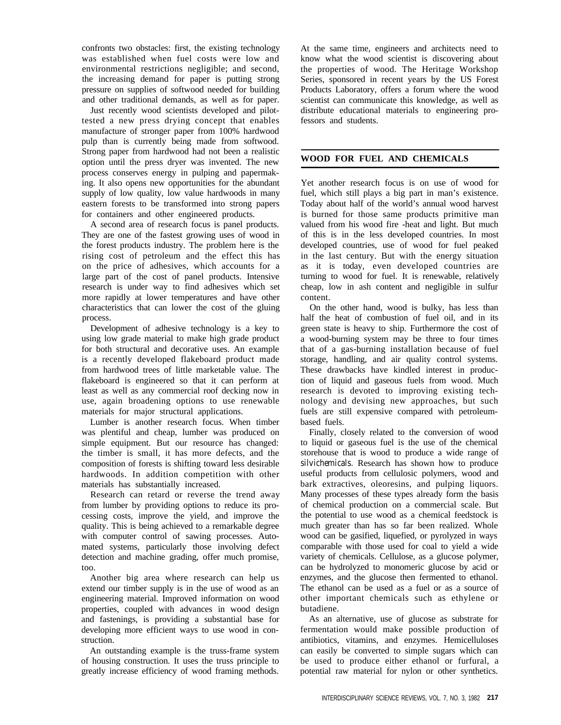confronts two obstacles: first, the existing technology was established when fuel costs were low and environmental restrictions negligible; and second, the increasing demand for paper is putting strong pressure on supplies of softwood needed for building and other traditional demands, as well as for paper.

Just recently wood scientists developed and pilottested a new press drying concept that enables manufacture of stronger paper from 100% hardwood pulp than is currently being made from softwood. Strong paper from hardwood had not been a realistic option until the press dryer was invented. The new process conserves energy in pulping and papermaking. It also opens new opportunities for the abundant supply of low quality, low value hardwoods in many eastern forests to be transformed into strong papers for containers and other engineered products.

A second area of research focus is panel products. They are one of the fastest growing uses of wood in the forest products industry. The problem here is the rising cost of petroleum and the effect this has on the price of adhesives, which accounts for a large part of the cost of panel products. Intensive research is under way to find adhesives which set more rapidly at lower temperatures and have other characteristics that can lower the cost of the gluing process.

Development of adhesive technology is a key to using low grade material to make high grade product for both structural and decorative uses. An example is a recently developed flakeboard product made from hardwood trees of little marketable value. The flakeboard is engineered so that it can perform at least as well as any commercial roof decking now in use, again broadening options to use renewable materials for major structural applications.

Lumber is another research focus. When timber was plentiful and cheap, lumber was produced on simple equipment. But our resource has changed: the timber is small, it has more defects, and the composition of forests is shifting toward less desirable hardwoods. In addition competition with other materials has substantially increased.

Research can retard or reverse the trend away from lumber by providing options to reduce its processing costs, improve the yield, and improve the quality. This is being achieved to a remarkable degree with computer control of sawing processes. Automated systems, particularly those involving defect detection and machine grading, offer much promise, too.

Another big area where research can help us extend our timber supply is in the use of wood as an engineering material. Improved information on wood properties, coupled with advances in wood design and fastenings, is providing a substantial base for developing more efficient ways to use wood in construction.

An outstanding example is the truss-frame system of housing construction. It uses the truss principle to greatly increase efficiency of wood framing methods. At the same time, engineers and architects need to know what the wood scientist is discovering about the properties of wood. The Heritage Workshop Series, sponsored in recent years by the US Forest Products Laboratory, offers a forum where the wood scientist can communicate this knowledge, as well as distribute educational materials to engineering professors and students.

## **WOOD FOR FUEL AND CHEMICALS**

Yet another research focus is on use of wood for fuel, which still plays a big part in man's existence. Today about half of the world's annual wood harvest is burned for those same products primitive man valued from his wood fire -heat and light. But much of this is in the less developed countries. In most developed countries, use of wood for fuel peaked in the last century. But with the energy situation as it is today, even developed countries are turning to wood for fuel. It is renewable, relatively cheap, low in ash content and negligible in sulfur content.

On the other hand, wood is bulky, has less than half the heat of combustion of fuel oil, and in its green state is heavy to ship. Furthermore the cost of a wood-burning system may be three to four times that of a gas-burning installation because of fuel storage, handling, and air quality control systems. These drawbacks have kindled interest in production of liquid and gaseous fuels from wood. Much research is devoted to improving existing technology and devising new approaches, but such fuels are still expensive compared with petroleumbased fuels.

Finally, closely related to the conversion of wood to liquid or gaseous fuel is the use of the chemical storehouse that is wood to produce a wide range of *silvichemicals.* Research has shown how to produce useful products from cellulosic polymers, wood and bark extractives, oleoresins, and pulping liquors. Many processes of these types already form the basis of chemical production on a commercial scale. But the potential to use wood as a chemical feedstock is much greater than has so far been realized. Whole wood can be gasified, liquefied, or pyrolyzed in ways comparable with those used for coal to yield a wide variety of chemicals. Cellulose, as a glucose polymer, can be hydrolyzed to monomeric glucose by acid or enzymes, and the glucose then fermented to ethanol. The ethanol can be used as a fuel or as a source of other important chemicals such as ethylene or butadiene.

As an alternative, use of glucose as substrate for fermentation would make possible production of antibiotics, vitamins, and enzymes. Hemicelluloses can easily be converted to simple sugars which can be used to produce either ethanol or furfural, a potential raw material for nylon or other synthetics.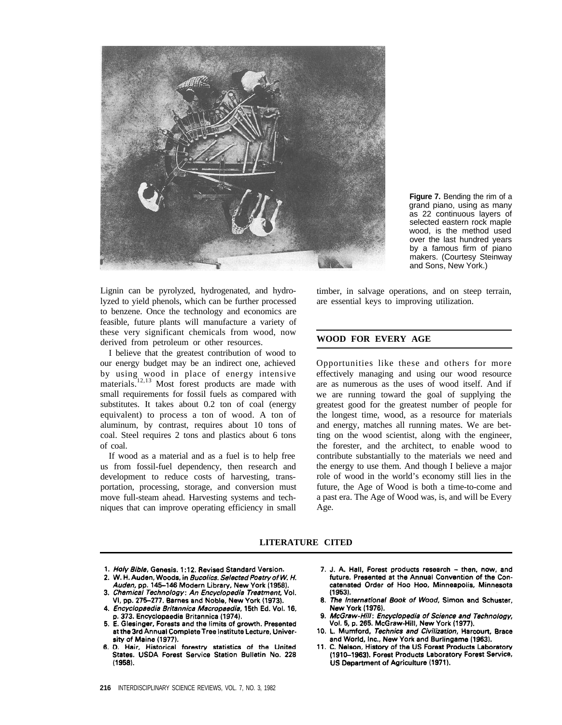

**Figure 7.** Bending the rim of a grand piano, using as many as 22 continuous layers of selected eastern rock maple wood, is the method used over the last hundred years by a famous firm of piano makers. (Courtesy Steinway and Sons, New York.)

Lignin can be pyrolyzed, hydrogenated, and hydrolyzed to yield phenols, which can be further processed to benzene. Once the technology and economics are feasible, future plants will manufacture a variety of these very significant chemicals from wood, now derived from petroleum or other resources.

I believe that the greatest contribution of wood to our energy budget may be an indirect one, achieved by using wood in place of energy intensive materials.<sup>12,13</sup> Most forest products are made with small requirements for fossil fuels as compared with substitutes. It takes about 0.2 ton of coal (energy equivalent) to process a ton of wood. A ton of aluminum, by contrast, requires about 10 tons of coal. Steel requires 2 tons and plastics about 6 tons of coal.

If wood as a material and as a fuel is to help free us from fossil-fuel dependency, then research and development to reduce costs of harvesting, transportation, processing, storage, and conversion must move full-steam ahead. Harvesting systems and techniques that can improve operating efficiency in small

timber, in salvage operations, and on steep terrain, are essential keys to improving utilization.

## **WOOD FOR EVERY AGE**

Opportunities like these and others for more effectively managing and using our wood resource are as numerous as the uses of wood itself. And if we are running toward the goal of supplying the greatest good for the greatest number of people for the longest time, wood, as a resource for materials and energy, matches all running mates. We are betting on the wood scientist, along with the engineer, the forester, and the architect, to enable wood to contribute substantially to the materials we need and the energy to use them. And though I believe a major role of wood in the world's economy still lies in the future, the Age of Wood is both a time-to-come and a past era. The Age of Wood was, is, and will be Every Age.

#### **LITERATURE CITED**

- 1. Holy Bible, Genesis. 1:12. Revised Standard Version.
- 2. W. H. Auden, Woods, in Bucolics. Selected Poetry of W. H. Auden, pp. 145-146 Modern Library, New York (1958).
- 3. Chemical Technology: An Encyclopedia Treatment, Vol. VI, pp. 275-277. Barnes and Noble, New York (1973).
- 4. Encyclopaedia Britannica Macropaedia, 15th Ed. Vol. 16, p. 373. Encyclopaedia Britannica (1974).
- 5. E. Glesinger, Forests and the limits of growth. Presented at the 3rd Annual Complete Tree Institute Lecture, University of Maine (1977).
- 6. D. Hair, Historical forestry statistics of the United States. USDA Forest Service Station Bulletin No. 228  $(1958).$
- 7. J. A. Hall, Forest products research then, now, and future. Presented at the Annual Convention of the Concatenated Order of Hoo Hoo, Minneapolis, Minnesota  $(1953)$
- 8. The International Book of Wood, Simon and Schuster, New York (1976).
- 9. McGraw-Hill: Encyclopedia of Science and Technology, Vol. 5, p. 265. McGraw-Hill, New York (1977).
- 10. L. Mumford, Technics and Civilization, Harcourt, Brace and World, Inc., New York and Burlingame (1963).
- 11. C. Nelson, History of the US Forest Products Laboratory (1910-1963). Forest Products Laboratory Forest Service, US Department of Agriculture (1971).